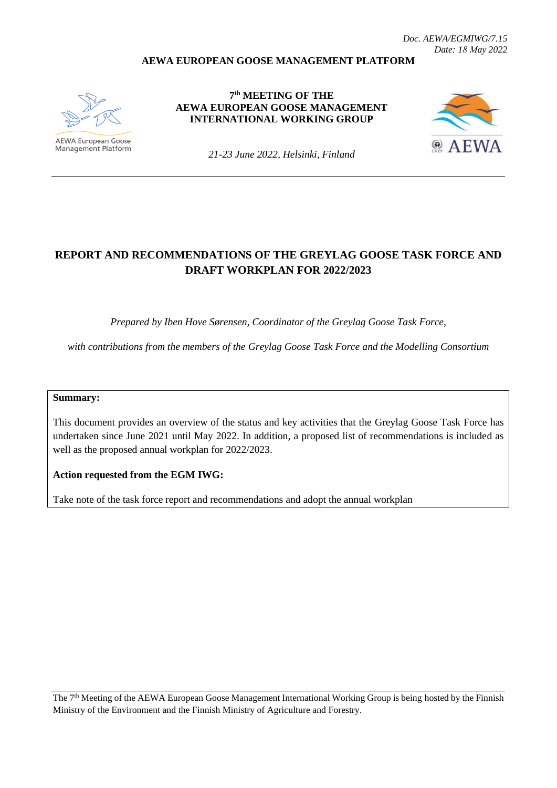## **AEWA EUROPEAN GOOSE MANAGEMENT PLATFORM**



Management Platform

**7 th MEETING OF THE AEWA EUROPEAN GOOSE MANAGEMENT INTERNATIONAL WORKING GROUP**



*21-23 June 2022, Helsinki, Finland*

# **REPORT AND RECOMMENDATIONS OF THE GREYLAG GOOSE TASK FORCE AND DRAFT WORKPLAN FOR 2022/2023**

*Prepared by Iben Hove Sørensen, Coordinator of the Greylag Goose Task Force,* 

*with contributions from the members of the Greylag Goose Task Force and the Modelling Consortium*

#### **Summary:**

This document provides an overview of the status and key activities that the Greylag Goose Task Force has undertaken since June 2021 until May 2022. In addition, a proposed list of recommendations is included as well as the proposed annual workplan for 2022/2023.

#### **Action requested from the EGM IWG:**

Take note of the task force report and recommendations and adopt the annual workplan

The 7<sup>th</sup> Meeting of the AEWA European Goose Management International Working Group is being hosted by the Finnish Ministry of the Environment and the Finnish Ministry of Agriculture and Forestry.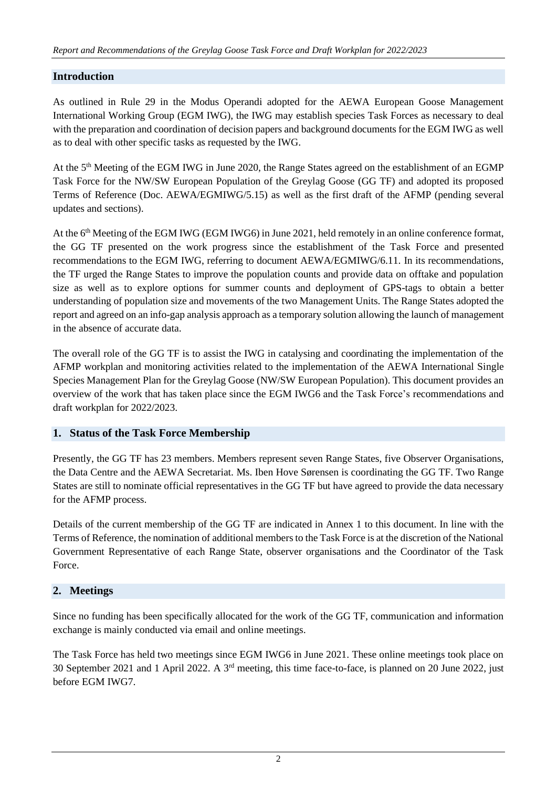## **Introduction**

As outlined in Rule 29 in the Modus Operandi adopted for the AEWA European Goose Management International Working Group (EGM IWG), the IWG may establish species Task Forces as necessary to deal with the preparation and coordination of decision papers and background documents for the EGM IWG as well as to deal with other specific tasks as requested by the IWG.

At the 5<sup>th</sup> Meeting of the EGM IWG in June 2020, the Range States agreed on the establishment of an EGMP Task Force for the NW/SW European Population of the Greylag Goose (GG TF) and adopted its proposed Terms of Reference (Doc. AEWA/EGMIWG/5.15) as well as the first draft of the AFMP (pending several updates and sections).

At the  $6<sup>th</sup>$  Meeting of the EGM IWG (EGM IWG6) in June 2021, held remotely in an online conference format, the GG TF presented on the work progress since the establishment of the Task Force and presented recommendations to the EGM IWG, referring to document AEWA/EGMIWG/6.11. In its recommendations, the TF urged the Range States to improve the population counts and provide data on offtake and population size as well as to explore options for summer counts and deployment of GPS-tags to obtain a better understanding of population size and movements of the two Management Units. The Range States adopted the report and agreed on an info-gap analysis approach as a temporary solution allowing the launch of management in the absence of accurate data.

The overall role of the GG TF is to assist the IWG in catalysing and coordinating the implementation of the AFMP workplan and monitoring activities related to the implementation of the AEWA International Single Species Management Plan for the Greylag Goose (NW/SW European Population). This document provides an overview of the work that has taken place since the EGM IWG6 and the Task Force's recommendations and draft workplan for 2022/2023.

## **1. Status of the Task Force Membership**

Presently, the GG TF has 23 members. Members represent seven Range States, five Observer Organisations, the Data Centre and the AEWA Secretariat. Ms. Iben Hove Sørensen is coordinating the GG TF. Two Range States are still to nominate official representatives in the GG TF but have agreed to provide the data necessary for the AFMP process.

Details of the current membership of the GG TF are indicated in Annex 1 to this document. In line with the Terms of Reference, the nomination of additional members to the Task Force is at the discretion of the National Government Representative of each Range State, observer organisations and the Coordinator of the Task Force.

# **2. Meetings**

Since no funding has been specifically allocated for the work of the GG TF, communication and information exchange is mainly conducted via email and online meetings.

The Task Force has held two meetings since EGM IWG6 in June 2021. These online meetings took place on 30 September 2021 and 1 April 2022. A 3<sup>rd</sup> meeting, this time face-to-face, is planned on 20 June 2022, just before EGM IWG7.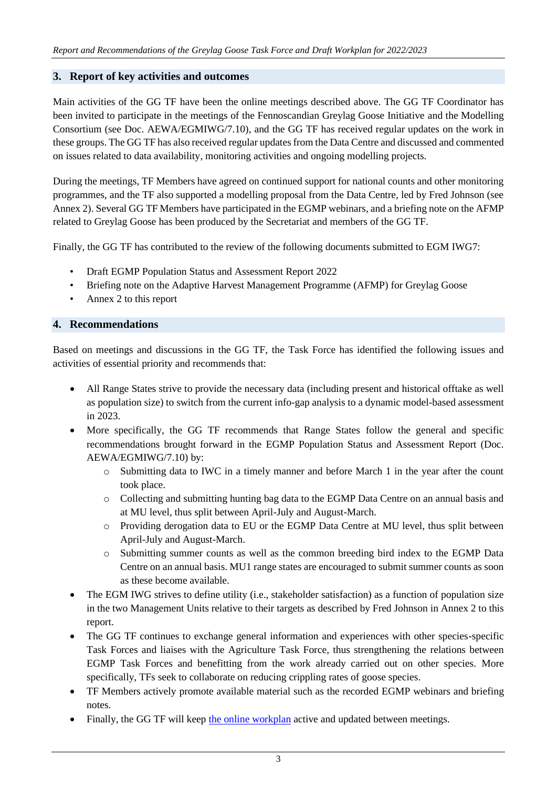## **3. Report of key activities and outcomes**

Main activities of the GG TF have been the online meetings described above. The GG TF Coordinator has been invited to participate in the meetings of the Fennoscandian Greylag Goose Initiative and the Modelling Consortium (see Doc. AEWA/EGMIWG/7.10), and the GG TF has received regular updates on the work in these groups. The GG TF has also received regular updates from the Data Centre and discussed and commented on issues related to data availability, monitoring activities and ongoing modelling projects.

During the meetings, TF Members have agreed on continued support for national counts and other monitoring programmes, and the TF also supported a modelling proposal from the Data Centre, led by Fred Johnson (see Annex 2). Several GG TF Members have participated in the EGMP webinars, and a briefing note on the AFMP related to Greylag Goose has been produced by the Secretariat and members of the GG TF.

Finally, the GG TF has contributed to the review of the following documents submitted to EGM IWG7:

- Draft EGMP Population Status and Assessment Report 2022
- Briefing note on the Adaptive Harvest Management Programme (AFMP) for Greylag Goose
- Annex 2 to this report

## **4. Recommendations**

Based on meetings and discussions in the GG TF, the Task Force has identified the following issues and activities of essential priority and recommends that:

- All Range States strive to provide the necessary data (including present and historical offtake as well as population size) to switch from the current info-gap analysis to a dynamic model-based assessment in 2023.
- More specifically, the GG TF recommends that Range States follow the general and specific recommendations brought forward in the EGMP Population Status and Assessment Report (Doc. AEWA/EGMIWG/7.10) by:
	- o Submitting data to IWC in a timely manner and before March 1 in the year after the count took place.
	- o Collecting and submitting hunting bag data to the EGMP Data Centre on an annual basis and at MU level, thus split between April-July and August-March.
	- o Providing derogation data to EU or the EGMP Data Centre at MU level, thus split between April-July and August-March.
	- o Submitting summer counts as well as the common breeding bird index to the EGMP Data Centre on an annual basis. MU1 range states are encouraged to submit summer counts as soon as these become available.
- The EGM IWG strives to define utility (i.e., stakeholder satisfaction) as a function of population size in the two Management Units relative to their targets as described by Fred Johnson in Annex 2 to this report.
- The GG TF continues to exchange general information and experiences with other species-specific Task Forces and liaises with the Agriculture Task Force, thus strengthening the relations between EGMP Task Forces and benefitting from the work already carried out on other species. More specifically, TFs seek to collaborate on reducing crippling rates of goose species.
- TF Members actively promote available material such as the recorded EGMP webinars and briefing notes.
- Finally, the GG TF will keep [the online workplan](https://docs.google.com/spreadsheets/d/1M64HWxzVagM9W0mG8iMMeVYS3_-M44W6QsHvvUonST8/edit?pli=1#gid=1472654637) active and updated between meetings.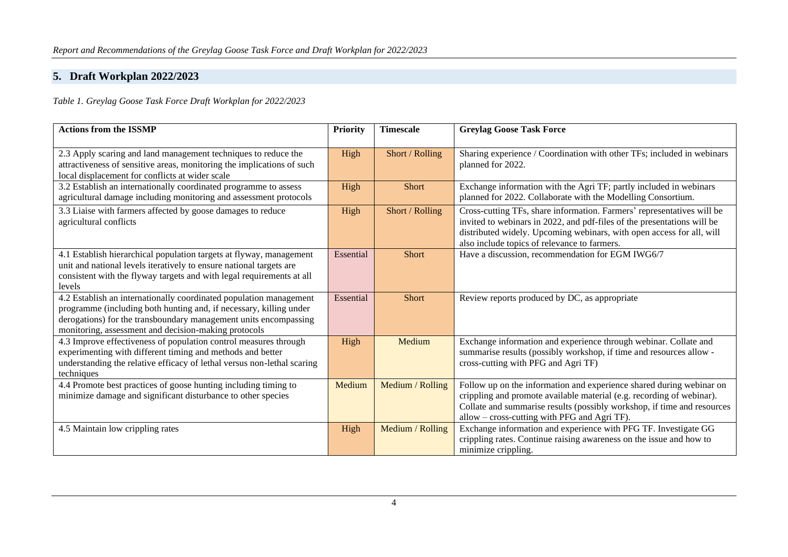# **5. Draft Workplan 2022/2023**

*Table 1. Greylag Goose Task Force Draft Workplan for 2022/2023*

| <b>Actions from the ISSMP</b>                                                                                                                                                                                                                                        | <b>Priority</b> | <b>Timescale</b> | <b>Greylag Goose Task Force</b>                                                                                                                                                                                                                                            |
|----------------------------------------------------------------------------------------------------------------------------------------------------------------------------------------------------------------------------------------------------------------------|-----------------|------------------|----------------------------------------------------------------------------------------------------------------------------------------------------------------------------------------------------------------------------------------------------------------------------|
| 2.3 Apply scaring and land management techniques to reduce the<br>attractiveness of sensitive areas, monitoring the implications of such<br>local displacement for conflicts at wider scale                                                                          | High            | Short / Rolling  | Sharing experience / Coordination with other TFs; included in webinars<br>planned for 2022.                                                                                                                                                                                |
| 3.2 Establish an internationally coordinated programme to assess<br>agricultural damage including monitoring and assessment protocols                                                                                                                                | High            | <b>Short</b>     | Exchange information with the Agri TF; partly included in webinars<br>planned for 2022. Collaborate with the Modelling Consortium.                                                                                                                                         |
| 3.3 Liaise with farmers affected by goose damages to reduce<br>agricultural conflicts                                                                                                                                                                                | High            | Short / Rolling  | Cross-cutting TFs, share information. Farmers' representatives will be<br>invited to webinars in 2022, and pdf-files of the presentations will be<br>distributed widely. Upcoming webinars, with open access for all, will<br>also include topics of relevance to farmers. |
| 4.1 Establish hierarchical population targets at flyway, management<br>unit and national levels iteratively to ensure national targets are<br>consistent with the flyway targets and with legal requirements at all<br>levels                                        | Essential       | <b>Short</b>     | Have a discussion, recommendation for EGM IWG6/7                                                                                                                                                                                                                           |
| 4.2 Establish an internationally coordinated population management<br>programme (including both hunting and, if necessary, killing under<br>derogations) for the transboundary management units encompassing<br>monitoring, assessment and decision-making protocols | Essential       | <b>Short</b>     | Review reports produced by DC, as appropriate                                                                                                                                                                                                                              |
| 4.3 Improve effectiveness of population control measures through<br>experimenting with different timing and methods and better<br>understanding the relative efficacy of lethal versus non-lethal scaring<br>techniques                                              | High            | Medium           | Exchange information and experience through webinar. Collate and<br>summarise results (possibly workshop, if time and resources allow -<br>cross-cutting with PFG and Agri TF)                                                                                             |
| 4.4 Promote best practices of goose hunting including timing to<br>minimize damage and significant disturbance to other species                                                                                                                                      | Medium          | Medium / Rolling | Follow up on the information and experience shared during webinar on<br>crippling and promote available material (e.g. recording of webinar).<br>Collate and summarise results (possibly workshop, if time and resources<br>allow – cross-cutting with PFG and Agri TF).   |
| 4.5 Maintain low crippling rates                                                                                                                                                                                                                                     | High            | Medium / Rolling | Exchange information and experience with PFG TF. Investigate GG<br>crippling rates. Continue raising awareness on the issue and how to<br>minimize crippling.                                                                                                              |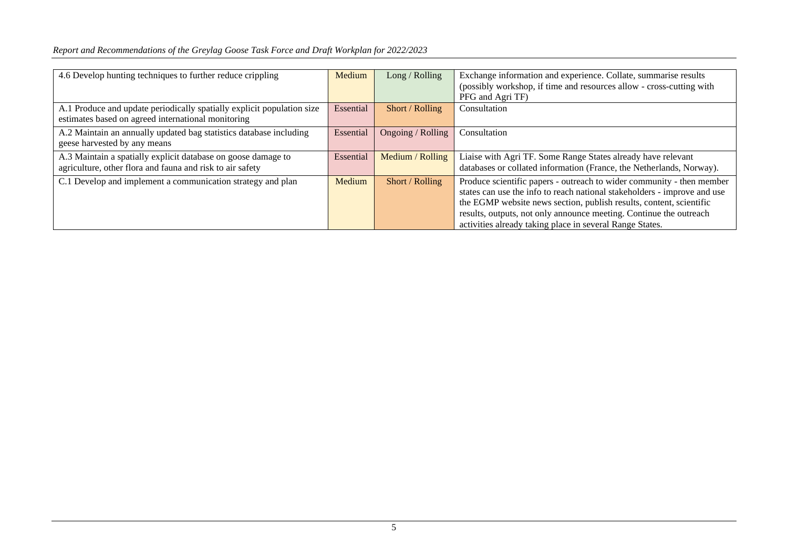|  | Report and Recommendations of the Greylag Goose Task Force and Draft Workplan for 2022/2023 |
|--|---------------------------------------------------------------------------------------------|
|--|---------------------------------------------------------------------------------------------|

| 4.6 Develop hunting techniques to further reduce crippling                                                                   | Medium    | Long / Rolling    | Exchange information and experience. Collate, summarise results<br>(possibly workshop, if time and resources allow - cross-cutting with<br>PFG and Agri TF)                                                                                                                                                                                                |
|------------------------------------------------------------------------------------------------------------------------------|-----------|-------------------|------------------------------------------------------------------------------------------------------------------------------------------------------------------------------------------------------------------------------------------------------------------------------------------------------------------------------------------------------------|
| A.1 Produce and update periodically spatially explicit population size<br>estimates based on agreed international monitoring | Essential | Short / Rolling   | Consultation                                                                                                                                                                                                                                                                                                                                               |
| A.2 Maintain an annually updated bag statistics database including<br>geese harvested by any means                           | Essential | Ongoing / Rolling | Consultation                                                                                                                                                                                                                                                                                                                                               |
| A.3 Maintain a spatially explicit database on goose damage to<br>agriculture, other flora and fauna and risk to air safety   | Essential | Medium / Rolling  | Liaise with Agri TF. Some Range States already have relevant<br>databases or collated information (France, the Netherlands, Norway).                                                                                                                                                                                                                       |
| C.1 Develop and implement a communication strategy and plan                                                                  | Medium    | Short / Rolling   | Produce scientific papers - outreach to wider community - then member<br>states can use the info to reach national stakeholders - improve and use<br>the EGMP website news section, publish results, content, scientific<br>results, outputs, not only announce meeting. Continue the outreach<br>activities already taking place in several Range States. |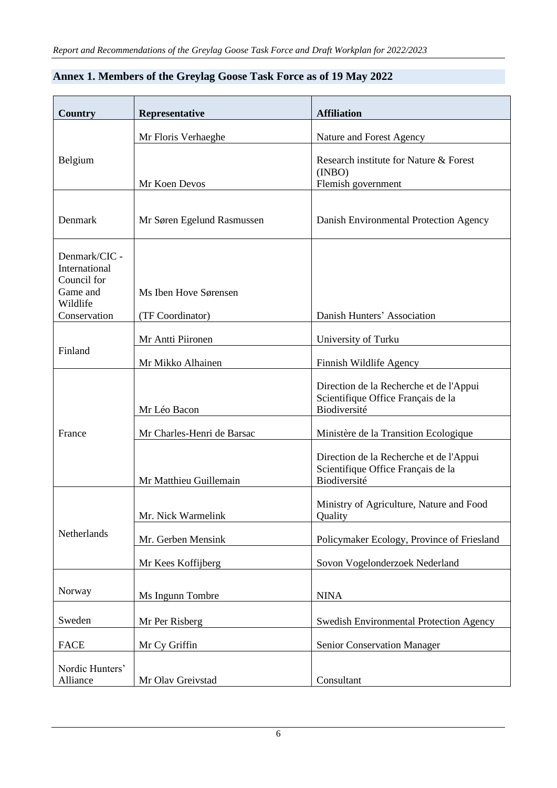| <b>Country</b>                                                                        | Representative                            | <b>Affiliation</b>                                                                            |
|---------------------------------------------------------------------------------------|-------------------------------------------|-----------------------------------------------------------------------------------------------|
|                                                                                       | Mr Floris Verhaeghe                       | Nature and Forest Agency                                                                      |
| Belgium                                                                               | Mr Koen Devos                             | Research institute for Nature & Forest<br>(INBO)<br>Flemish government                        |
|                                                                                       |                                           |                                                                                               |
| Denmark                                                                               | Mr Søren Egelund Rasmussen                | Danish Environmental Protection Agency                                                        |
| Denmark/CIC -<br>International<br>Council for<br>Game and<br>Wildlife<br>Conservation | Ms Iben Hove Sørensen<br>(TF Coordinator) | Danish Hunters' Association                                                                   |
|                                                                                       |                                           |                                                                                               |
| Finland                                                                               | Mr Antti Piironen                         | University of Turku                                                                           |
|                                                                                       | Mr Mikko Alhainen                         | Finnish Wildlife Agency                                                                       |
| France                                                                                | Mr Léo Bacon                              | Direction de la Recherche et de l'Appui<br>Scientifique Office Français de la<br>Biodiversité |
|                                                                                       | Mr Charles-Henri de Barsac                | Ministère de la Transition Ecologique                                                         |
|                                                                                       | Mr Matthieu Guillemain                    | Direction de la Recherche et de l'Appui<br>Scientifique Office Français de la<br>Biodiversité |
| Netherlands                                                                           | Mr. Nick Warmelink                        | Ministry of Agriculture, Nature and Food<br>Quality                                           |
|                                                                                       | Mr. Gerben Mensink                        | Policymaker Ecology, Province of Friesland                                                    |
|                                                                                       | Mr Kees Koffijberg                        | Sovon Vogelonderzoek Nederland                                                                |
| Norway                                                                                | Ms Ingunn Tombre                          | <b>NINA</b>                                                                                   |
| Sweden                                                                                | Mr Per Risberg                            | <b>Swedish Environmental Protection Agency</b>                                                |
| <b>FACE</b>                                                                           | Mr Cy Griffin                             | <b>Senior Conservation Manager</b>                                                            |
| Nordic Hunters'<br>Alliance                                                           | Mr Olav Greivstad                         | Consultant                                                                                    |

# **Annex 1. Members of the Greylag Goose Task Force as of 19 May 2022**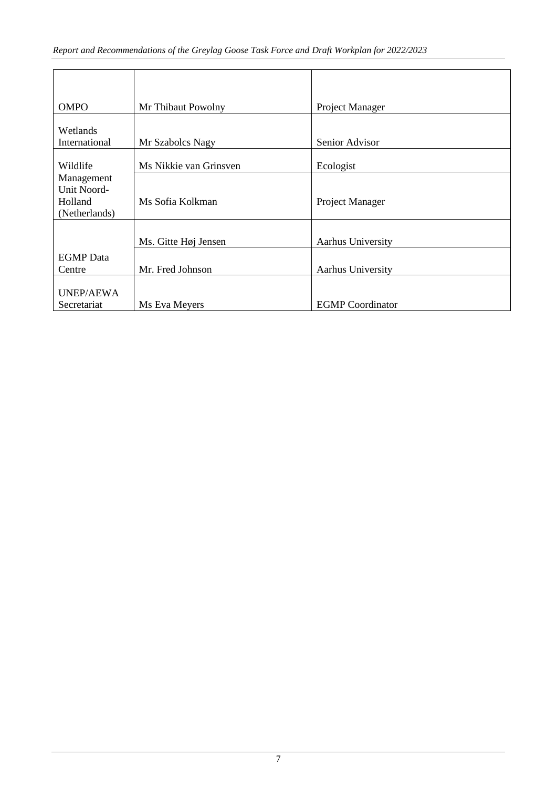| <b>OMPO</b>                                           | Mr Thibaut Powolny     | Project Manager         |
|-------------------------------------------------------|------------------------|-------------------------|
| Wetlands<br>International                             | Mr Szabolcs Nagy       | Senior Advisor          |
| Wildlife                                              | Ms Nikkie van Grinsven | Ecologist               |
| Management<br>Unit Noord-<br>Holland<br>(Netherlands) | Ms Sofia Kolkman       | Project Manager         |
|                                                       | Ms. Gitte Høj Jensen   | Aarhus University       |
| <b>EGMP</b> Data<br>Centre                            | Mr. Fred Johnson       | Aarhus University       |
| <b>UNEP/AEWA</b><br>Secretariat                       | Ms Eva Meyers          | <b>EGMP</b> Coordinator |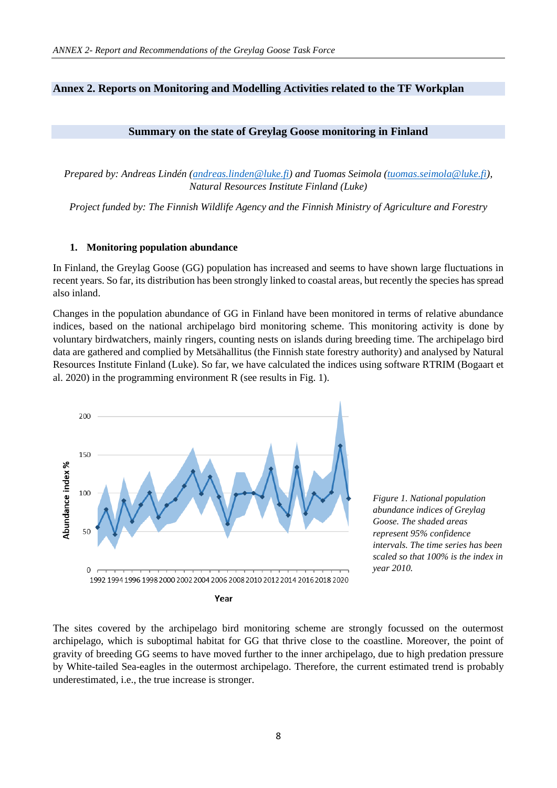## **Annex 2. Reports on Monitoring and Modelling Activities related to the TF Workplan**

#### **Summary on the state of Greylag Goose monitoring in Finland**

*Prepared by: Andreas Lindén [\(andreas.linden@luke.fi\)](mailto:andreas.linden@luke.fi) and Tuomas Seimola [\(tuomas.seimola@luke.fi\)](mailto:tuomas.seimola@luke.fi), Natural Resources Institute Finland (Luke)*

*Project funded by: The Finnish Wildlife Agency and the Finnish Ministry of Agriculture and Forestry*

#### **1. Monitoring population abundance**

In Finland, the Greylag Goose (GG) population has increased and seems to have shown large fluctuations in recent years. So far, its distribution has been strongly linked to coastal areas, but recently the species has spread also inland.

Changes in the population abundance of GG in Finland have been monitored in terms of relative abundance indices, based on the national archipelago bird monitoring scheme. This monitoring activity is done by voluntary birdwatchers, mainly ringers, counting nests on islands during breeding time. The archipelago bird data are gathered and complied by Metsähallitus (the Finnish state forestry authority) and analysed by Natural Resources Institute Finland (Luke). So far, we have calculated the indices using software RTRIM (Bogaart et al. 2020) in the programming environment R (see results in Fig. 1).



*Figure 1. National population abundance indices of Greylag Goose. The shaded areas represent 95% confidence intervals. The time series has been scaled so that 100% is the index in year 2010.*

The sites covered by the archipelago bird monitoring scheme are strongly focussed on the outermost archipelago, which is suboptimal habitat for GG that thrive close to the coastline. Moreover, the point of gravity of breeding GG seems to have moved further to the inner archipelago, due to high predation pressure by White-tailed Sea-eagles in the outermost archipelago. Therefore, the current estimated trend is probably underestimated, i.e., the true increase is stronger.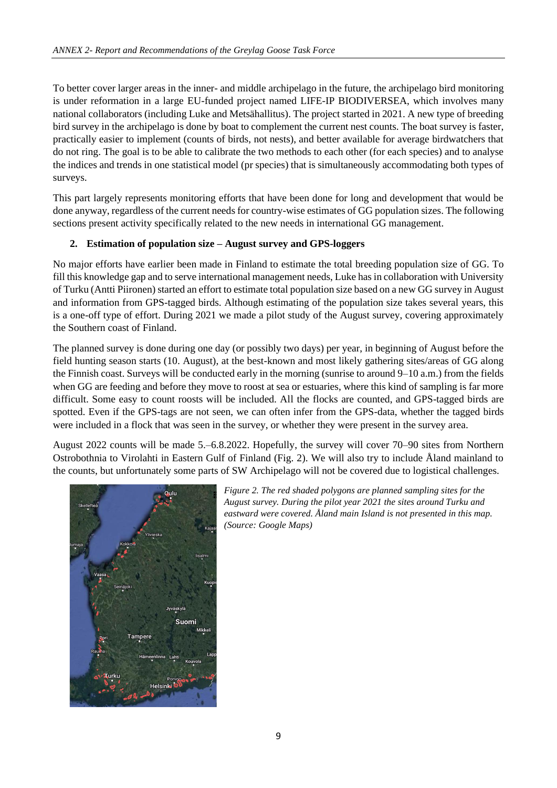To better cover larger areas in the inner- and middle archipelago in the future, the archipelago bird monitoring is under reformation in a large EU-funded project named LIFE-IP BIODIVERSEA, which involves many national collaborators (including Luke and Metsähallitus). The project started in 2021. A new type of breeding bird survey in the archipelago is done by boat to complement the current nest counts. The boat survey is faster, practically easier to implement (counts of birds, not nests), and better available for average birdwatchers that do not ring. The goal is to be able to calibrate the two methods to each other (for each species) and to analyse the indices and trends in one statistical model (pr species) that is simultaneously accommodating both types of surveys.

This part largely represents monitoring efforts that have been done for long and development that would be done anyway, regardless of the current needs for country-wise estimates of GG population sizes. The following sections present activity specifically related to the new needs in international GG management.

## **2. Estimation of population size – August survey and GPS-loggers**

No major efforts have earlier been made in Finland to estimate the total breeding population size of GG. To fill this knowledge gap and to serve international management needs, Luke has in collaboration with University of Turku (Antti Piironen) started an effort to estimate total population size based on a new GG survey in August and information from GPS-tagged birds. Although estimating of the population size takes several years, this is a one-off type of effort. During 2021 we made a pilot study of the August survey, covering approximately the Southern coast of Finland.

The planned survey is done during one day (or possibly two days) per year, in beginning of August before the field hunting season starts (10. August), at the best-known and most likely gathering sites/areas of GG along the Finnish coast. Surveys will be conducted early in the morning (sunrise to around 9–10 a.m.) from the fields when GG are feeding and before they move to roost at sea or estuaries, where this kind of sampling is far more difficult. Some easy to count roosts will be included. All the flocks are counted, and GPS-tagged birds are spotted. Even if the GPS-tags are not seen, we can often infer from the GPS-data, whether the tagged birds were included in a flock that was seen in the survey, or whether they were present in the survey area.

August 2022 counts will be made 5.–6.8.2022. Hopefully, the survey will cover 70–90 sites from Northern Ostrobothnia to Virolahti in Eastern Gulf of Finland (Fig. 2). We will also try to include Åland mainland to the counts, but unfortunately some parts of SW Archipelago will not be covered due to logistical challenges.



*Figure 2. The red shaded polygons are planned sampling sites for the August survey. During the pilot year 2021 the sites around Turku and eastward were covered. Åland main Island is not presented in this map. (Source: Google Maps)*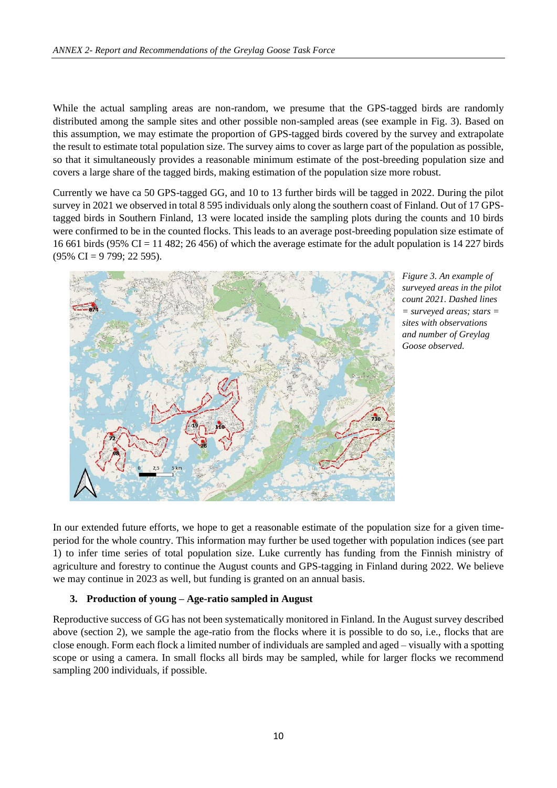While the actual sampling areas are non-random, we presume that the GPS-tagged birds are randomly distributed among the sample sites and other possible non-sampled areas (see example in Fig. 3). Based on this assumption, we may estimate the proportion of GPS-tagged birds covered by the survey and extrapolate the result to estimate total population size. The survey aims to cover as large part of the population as possible, so that it simultaneously provides a reasonable minimum estimate of the post-breeding population size and covers a large share of the tagged birds, making estimation of the population size more robust.

Currently we have ca 50 GPS-tagged GG, and 10 to 13 further birds will be tagged in 2022. During the pilot survey in 2021 we observed in total 8 595 individuals only along the southern coast of Finland. Out of 17 GPStagged birds in Southern Finland, 13 were located inside the sampling plots during the counts and 10 birds were confirmed to be in the counted flocks. This leads to an average post-breeding population size estimate of 16 661 birds (95% CI = 11 482; 26 456) of which the average estimate for the adult population is 14 227 birds  $(95\% \text{ CI} = 9799; 22595).$ 



*Figure 3. An example of surveyed areas in the pilot count 2021. Dashed lines = surveyed areas; stars = sites with observations and number of Greylag Goose observed.* 

In our extended future efforts, we hope to get a reasonable estimate of the population size for a given timeperiod for the whole country. This information may further be used together with population indices (see part 1) to infer time series of total population size. Luke currently has funding from the Finnish ministry of agriculture and forestry to continue the August counts and GPS-tagging in Finland during 2022. We believe we may continue in 2023 as well, but funding is granted on an annual basis.

## **3. Production of young – Age-ratio sampled in August**

Reproductive success of GG has not been systematically monitored in Finland. In the August survey described above (section 2), we sample the age-ratio from the flocks where it is possible to do so, i.e., flocks that are close enough. Form each flock a limited number of individuals are sampled and aged – visually with a spotting scope or using a camera. In small flocks all birds may be sampled, while for larger flocks we recommend sampling 200 individuals, if possible.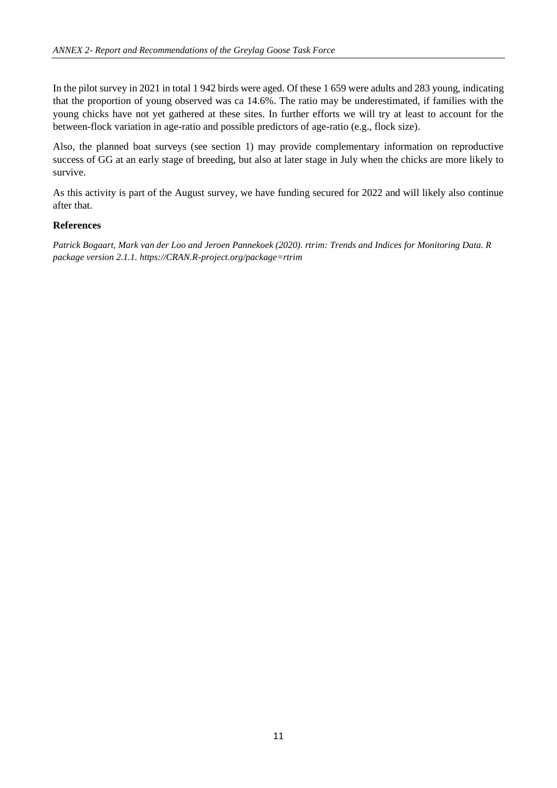In the pilot survey in 2021 in total 1 942 birds were aged. Of these 1 659 were adults and 283 young, indicating that the proportion of young observed was ca 14.6%. The ratio may be underestimated, if families with the young chicks have not yet gathered at these sites. In further efforts we will try at least to account for the between-flock variation in age-ratio and possible predictors of age-ratio (e.g., flock size).

Also, the planned boat surveys (see section 1) may provide complementary information on reproductive success of GG at an early stage of breeding, but also at later stage in July when the chicks are more likely to survive.

As this activity is part of the August survey, we have funding secured for 2022 and will likely also continue after that.

### **References**

*Patrick Bogaart, Mark van der Loo and Jeroen Pannekoek (2020). rtrim: Trends and Indices for Monitoring Data. R package version 2.1.1. https://CRAN.R-project.org/package=rtrim*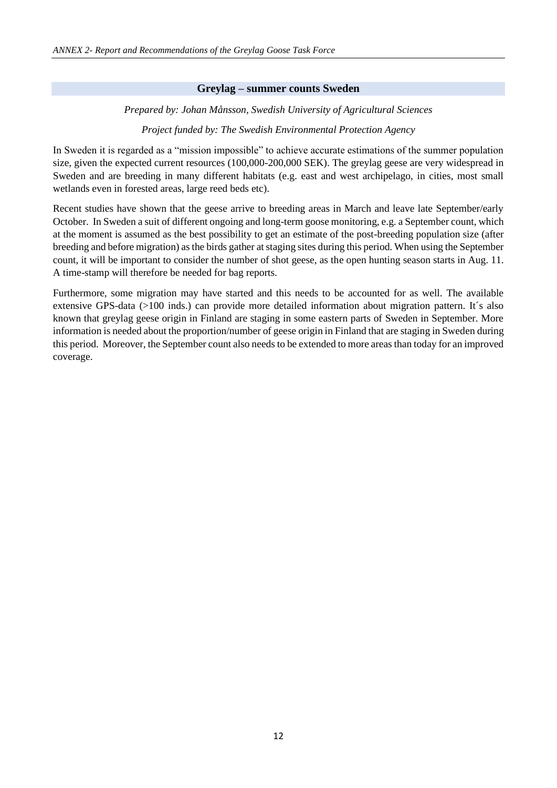### **Greylag – summer counts Sweden**

## *Prepared by: Johan Månsson, Swedish University of Agricultural Sciences*

### *Project funded by: The Swedish Environmental Protection Agency*

In Sweden it is regarded as a "mission impossible" to achieve accurate estimations of the summer population size, given the expected current resources (100,000-200,000 SEK). The greylag geese are very widespread in Sweden and are breeding in many different habitats (e.g. east and west archipelago, in cities, most small wetlands even in forested areas, large reed beds etc).

Recent studies have shown that the geese arrive to breeding areas in March and leave late September/early October. In Sweden a suit of different ongoing and long-term goose monitoring, e.g. a September count, which at the moment is assumed as the best possibility to get an estimate of the post-breeding population size (after breeding and before migration) as the birds gather at staging sites during this period. When using the September count, it will be important to consider the number of shot geese, as the open hunting season starts in Aug. 11. A time-stamp will therefore be needed for bag reports.

Furthermore, some migration may have started and this needs to be accounted for as well. The available extensive GPS-data (>100 inds.) can provide more detailed information about migration pattern. It´s also known that greylag geese origin in Finland are staging in some eastern parts of Sweden in September. More information is needed about the proportion/number of geese origin in Finland that are staging in Sweden during this period. Moreover, the September count also needs to be extended to more areas than today for an improved coverage.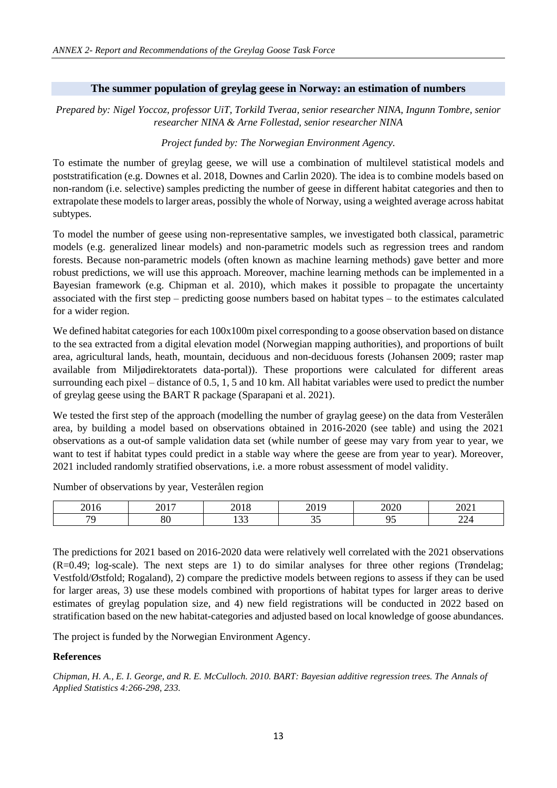### **The summer population of greylag geese in Norway: an estimation of numbers**

*Prepared by: Nigel Yoccoz, professor UiT, Torkild Tveraa, senior researcher NINA, Ingunn Tombre, senior researcher NINA & Arne Follestad, senior researcher NINA*

## *Project funded by: The Norwegian Environment Agency.*

To estimate the number of greylag geese, we will use a combination of multilevel statistical models and poststratification (e.g. Downes et al. 2018, Downes and Carlin 2020). The idea is to combine models based on non-random (i.e. selective) samples predicting the number of geese in different habitat categories and then to extrapolate these models to larger areas, possibly the whole of Norway, using a weighted average across habitat subtypes.

To model the number of geese using non-representative samples, we investigated both classical, parametric models (e.g. generalized linear models) and non-parametric models such as regression trees and random forests. Because non-parametric models (often known as machine learning methods) gave better and more robust predictions, we will use this approach. Moreover, machine learning methods can be implemented in a Bayesian framework (e.g. Chipman et al. 2010), which makes it possible to propagate the uncertainty associated with the first step – predicting goose numbers based on habitat types – to the estimates calculated for a wider region.

We defined habitat categories for each  $100x100m$  pixel corresponding to a goose observation based on distance to the sea extracted from a digital elevation model (Norwegian mapping authorities), and proportions of built area, agricultural lands, heath, mountain, deciduous and non-deciduous forests (Johansen 2009; raster map available from Miljødirektoratets data-portal)). These proportions were calculated for different areas surrounding each pixel – distance of 0.5, 1, 5 and 10 km. All habitat variables were used to predict the number of greylag geese using the BART R package (Sparapani et al. 2021).

We tested the first step of the approach (modelling the number of graylag geese) on the data from Vesterålen area, by building a model based on observations obtained in 2016-2020 (see table) and using the 2021 observations as a out-of sample validation data set (while number of geese may vary from year to year, we want to test if habitat types could predict in a stable way where the geese are from year to year). Moreover, 2021 included randomly stratified observations, i.e. a more robust assessment of model validity.

Number of observations by year, Vesterålen region

| $\mathbf{201}$<br>'16 | 2017      | $\sim$ $\sim$ $\sim$ | 2000<br>ZUZU | 0.021<br>$\angle$ U $\angle$ i |
|-----------------------|-----------|----------------------|--------------|--------------------------------|
| 70                    | ΩΩ<br>OΠ. | ⊥ັ                   |              | $\sim$<br>⊷⊷                   |

The predictions for 2021 based on 2016-2020 data were relatively well correlated with the 2021 observations (R=0.49; log-scale). The next steps are 1) to do similar analyses for three other regions (Trøndelag; Vestfold/Østfold; Rogaland), 2) compare the predictive models between regions to assess if they can be used for larger areas, 3) use these models combined with proportions of habitat types for larger areas to derive estimates of greylag population size, and 4) new field registrations will be conducted in 2022 based on stratification based on the new habitat-categories and adjusted based on local knowledge of goose abundances.

The project is funded by the Norwegian Environment Agency.

## **References**

*Chipman, H. A., E. I. George, and R. E. McCulloch. 2010. BART: Bayesian additive regression trees. The Annals of Applied Statistics 4:266-298, 233.*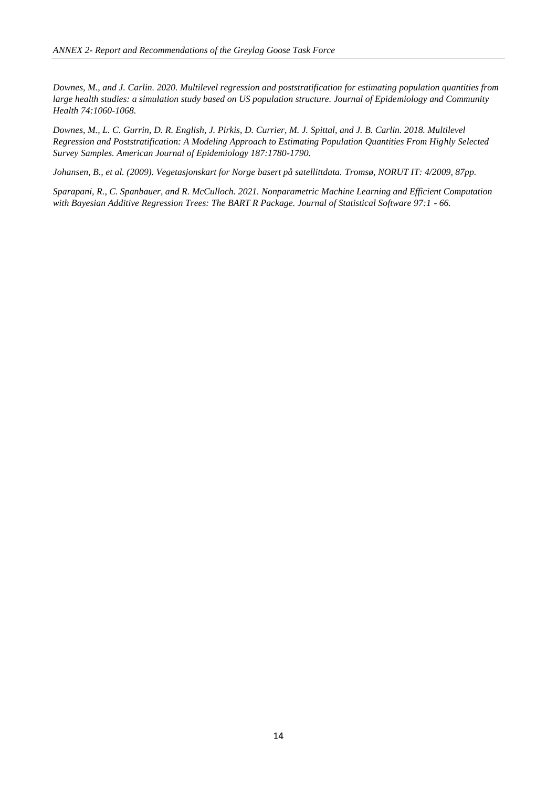*Downes, M., and J. Carlin. 2020. Multilevel regression and poststratification for estimating population quantities from large health studies: a simulation study based on US population structure. Journal of Epidemiology and Community Health 74:1060-1068.*

*Downes, M., L. C. Gurrin, D. R. English, J. Pirkis, D. Currier, M. J. Spittal, and J. B. Carlin. 2018. Multilevel Regression and Poststratification: A Modeling Approach to Estimating Population Quantities From Highly Selected Survey Samples. American Journal of Epidemiology 187:1780-1790.*

*Johansen, B., et al. (2009). Vegetasjonskart for Norge basert på satellittdata. Tromsø, NORUT IT: 4/2009, 87pp.*

*Sparapani, R., C. Spanbauer, and R. McCulloch. 2021. Nonparametric Machine Learning and Efficient Computation with Bayesian Additive Regression Trees: The BART R Package. Journal of Statistical Software 97:1 - 66.*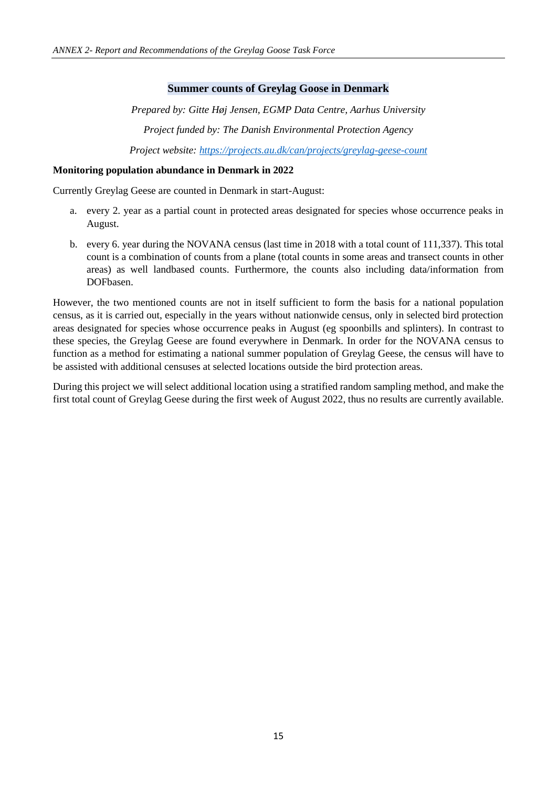## **Summer counts of Greylag Goose in Denmark**

*Prepared by: Gitte Høj Jensen, EGMP Data Centre, Aarhus University*

*Project funded by: The Danish Environmental Protection Agency*

*Project website:<https://projects.au.dk/can/projects/greylag-geese-count>*

#### **Monitoring population abundance in Denmark in 2022**

Currently Greylag Geese are counted in Denmark in start-August:

- a. every 2. year as a partial count in protected areas designated for species whose occurrence peaks in August.
- b. every 6. year during the NOVANA census (last time in 2018 with a total count of 111,337). This total count is a combination of counts from a plane (total counts in some areas and transect counts in other areas) as well landbased counts. Furthermore, the counts also including data/information from DOFbasen.

However, the two mentioned counts are not in itself sufficient to form the basis for a national population census, as it is carried out, especially in the years without nationwide census, only in selected bird protection areas designated for species whose occurrence peaks in August (eg spoonbills and splinters). In contrast to these species, the Greylag Geese are found everywhere in Denmark. In order for the NOVANA census to function as a method for estimating a national summer population of Greylag Geese, the census will have to be assisted with additional censuses at selected locations outside the bird protection areas.

During this project we will select additional location using a stratified random sampling method, and make the first total count of Greylag Geese during the first week of August 2022, thus no results are currently available.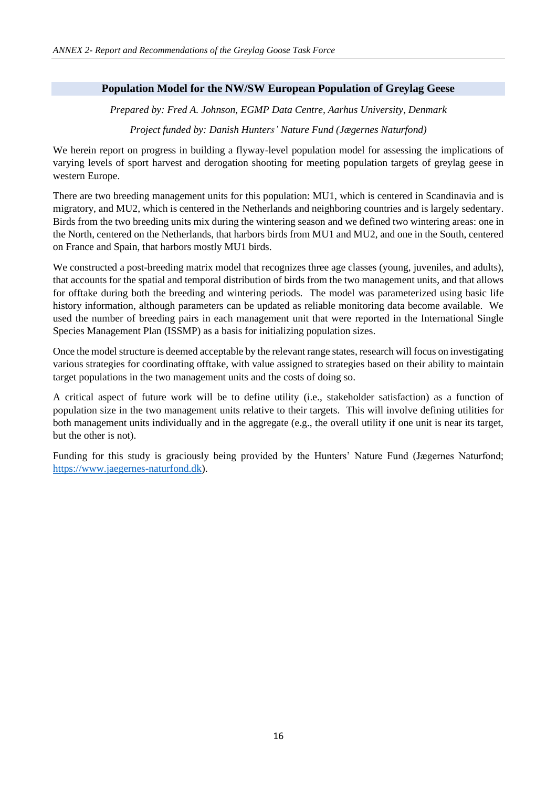## **Population Model for the NW/SW European Population of Greylag Geese**

*Prepared by: Fred A. Johnson, EGMP Data Centre, Aarhus University, Denmark*

*Project funded by: Danish Hunters' Nature Fund (Jægernes Naturfond)*

We herein report on progress in building a flyway-level population model for assessing the implications of varying levels of sport harvest and derogation shooting for meeting population targets of greylag geese in western Europe.

There are two breeding management units for this population: MU1, which is centered in Scandinavia and is migratory, and MU2, which is centered in the Netherlands and neighboring countries and is largely sedentary. Birds from the two breeding units mix during the wintering season and we defined two wintering areas: one in the North, centered on the Netherlands, that harbors birds from MU1 and MU2, and one in the South, centered on France and Spain, that harbors mostly MU1 birds.

We constructed a post-breeding matrix model that recognizes three age classes (young, juveniles, and adults), that accounts for the spatial and temporal distribution of birds from the two management units, and that allows for offtake during both the breeding and wintering periods. The model was parameterized using basic life history information, although parameters can be updated as reliable monitoring data become available. We used the number of breeding pairs in each management unit that were reported in the International Single Species Management Plan (ISSMP) as a basis for initializing population sizes.

Once the model structure is deemed acceptable by the relevant range states, research will focus on investigating various strategies for coordinating offtake, with value assigned to strategies based on their ability to maintain target populations in the two management units and the costs of doing so.

A critical aspect of future work will be to define utility (i.e., stakeholder satisfaction) as a function of population size in the two management units relative to their targets. This will involve defining utilities for both management units individually and in the aggregate (e.g., the overall utility if one unit is near its target, but the other is not).

Funding for this study is graciously being provided by the Hunters' Nature Fund (Jægernes Naturfond; [https://www.jaegernes-naturfond.dk\)](https://www.jaegernes-naturfond.dk/).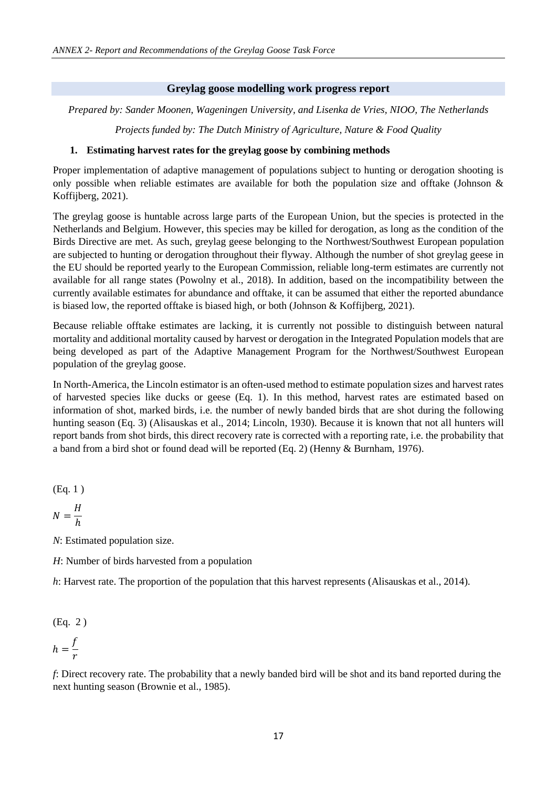### **Greylag goose modelling work progress report**

*Prepared by: Sander Moonen, Wageningen University, and Lisenka de Vries, NIOO, The Netherlands*

*Projects funded by: The Dutch Ministry of Agriculture, Nature & Food Quality*

## **1. Estimating harvest rates for the greylag goose by combining methods**

Proper implementation of adaptive management of populations subject to hunting or derogation shooting is only possible when reliable estimates are available for both the population size and offtake (Johnson  $\&$ Koffijberg, 2021).

The greylag goose is huntable across large parts of the European Union, but the species is protected in the Netherlands and Belgium. However, this species may be killed for derogation, as long as the condition of the Birds Directive are met. As such, greylag geese belonging to the Northwest/Southwest European population are subjected to hunting or derogation throughout their flyway. Although the number of shot greylag geese in the EU should be reported yearly to the European Commission, reliable long-term estimates are currently not available for all range states (Powolny et al., 2018). In addition, based on the incompatibility between the currently available estimates for abundance and offtake, it can be assumed that either the reported abundance is biased low, the reported offtake is biased high, or both (Johnson & Koffijberg, 2021).

Because reliable offtake estimates are lacking, it is currently not possible to distinguish between natural mortality and additional mortality caused by harvest or derogation in the Integrated Population models that are being developed as part of the Adaptive Management Program for the Northwest/Southwest European population of the greylag goose.

In North-America, the Lincoln estimator is an often-used method to estimate population sizes and harvest rates of harvested species like ducks or geese (Eq. 1). In this method, harvest rates are estimated based on information of shot, marked birds, i.e. the number of newly banded birds that are shot during the following hunting season (Eq. 3) (Alisauskas et al., 2014; Lincoln, 1930). Because it is known that not all hunters will report bands from shot birds, this direct recovery rate is corrected with a reporting rate, i.e. the probability that a band from a bird shot or found dead will be reported (Eq. 2) (Henny & Burnham, 1976).

$$
(Eq. 1)
$$

$$
N=\frac{H}{h}
$$

*N*: Estimated population size.

*H*: Number of birds harvested from a population

*h*: Harvest rate. The proportion of the population that this harvest represents (Alisauskas et al., 2014).

(Eq. 2 )

$$
h=\frac{f}{r}
$$

*f*: Direct recovery rate. The probability that a newly banded bird will be shot and its band reported during the next hunting season (Brownie et al., 1985).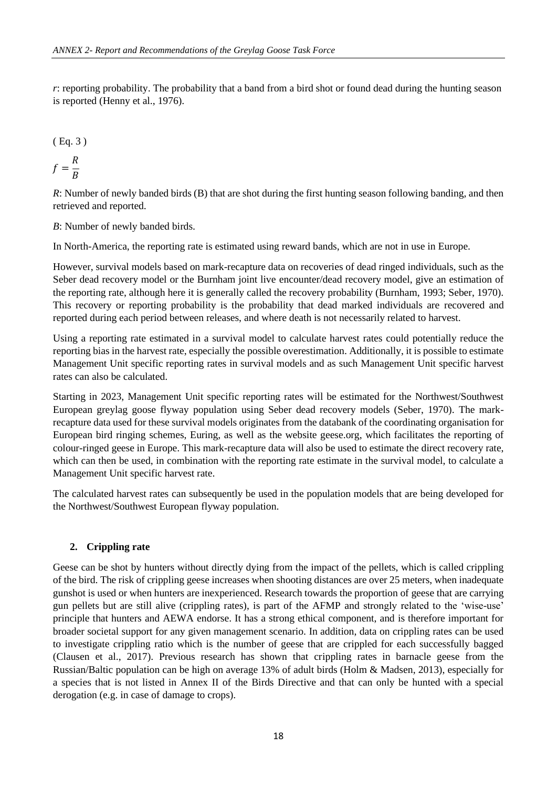*r*: reporting probability. The probability that a band from a bird shot or found dead during the hunting season is reported (Henny et al., 1976).

( Eq. 3 )

$$
f = \frac{R}{B}
$$

*R*: Number of newly banded birds (B) that are shot during the first hunting season following banding, and then retrieved and reported.

*B*: Number of newly banded birds.

In North-America, the reporting rate is estimated using reward bands, which are not in use in Europe.

However, survival models based on mark-recapture data on recoveries of dead ringed individuals, such as the Seber dead recovery model or the Burnham joint live encounter/dead recovery model, give an estimation of the reporting rate, although here it is generally called the recovery probability (Burnham, 1993; Seber, 1970). This recovery or reporting probability is the probability that dead marked individuals are recovered and reported during each period between releases, and where death is not necessarily related to harvest.

Using a reporting rate estimated in a survival model to calculate harvest rates could potentially reduce the reporting bias in the harvest rate, especially the possible overestimation. Additionally, it is possible to estimate Management Unit specific reporting rates in survival models and as such Management Unit specific harvest rates can also be calculated.

Starting in 2023, Management Unit specific reporting rates will be estimated for the Northwest/Southwest European greylag goose flyway population using Seber dead recovery models (Seber, 1970). The markrecapture data used for these survival models originates from the databank of the coordinating organisation for European bird ringing schemes, Euring, as well as the website geese.org, which facilitates the reporting of colour-ringed geese in Europe. This mark-recapture data will also be used to estimate the direct recovery rate, which can then be used, in combination with the reporting rate estimate in the survival model, to calculate a Management Unit specific harvest rate.

The calculated harvest rates can subsequently be used in the population models that are being developed for the Northwest/Southwest European flyway population.

## **2. Crippling rate**

Geese can be shot by hunters without directly dying from the impact of the pellets, which is called crippling of the bird. The risk of crippling geese increases when shooting distances are over 25 meters, when inadequate gunshot is used or when hunters are inexperienced. Research towards the proportion of geese that are carrying gun pellets but are still alive (crippling rates), is part of the AFMP and strongly related to the 'wise-use' principle that hunters and AEWA endorse. It has a strong ethical component, and is therefore important for broader societal support for any given management scenario. In addition, data on crippling rates can be used to investigate crippling ratio which is the number of geese that are crippled for each successfully bagged (Clausen et al., 2017). Previous research has shown that crippling rates in barnacle geese from the Russian/Baltic population can be high on average 13% of adult birds (Holm & Madsen, 2013), especially for a species that is not listed in Annex II of the Birds Directive and that can only be hunted with a special derogation (e.g. in case of damage to crops).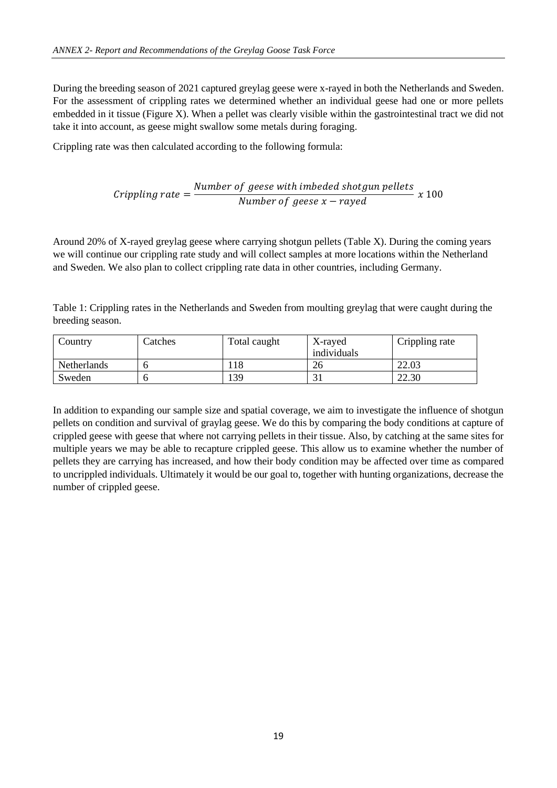During the breeding season of 2021 captured greylag geese were x-rayed in both the Netherlands and Sweden. For the assessment of crippling rates we determined whether an individual geese had one or more pellets embedded in it tissue (Figure X). When a pellet was clearly visible within the gastrointestinal tract we did not take it into account, as geese might swallow some metals during foraging.

Crippling rate was then calculated according to the following formula:

*Gripping rate* = 
$$
\frac{Number\ of\ geese\ with\ imbeded\ shotgun\ pellets}{Number\ of\ geese\ x-rayed} \ x\ 100
$$

Around 20% of X-rayed greylag geese where carrying shotgun pellets (Table X). During the coming years we will continue our crippling rate study and will collect samples at more locations within the Netherland and Sweden. We also plan to collect crippling rate data in other countries, including Germany.

Table 1: Crippling rates in the Netherlands and Sweden from moulting greylag that were caught during the breeding season.

| Country            | Latches | Total caught | X-rayed     | Crippling rate |
|--------------------|---------|--------------|-------------|----------------|
|                    |         |              | individuals |                |
| <b>Netherlands</b> |         | 118          | 26          | 22.03          |
| Sweden             |         | 139          | IJ          | 22.30          |

In addition to expanding our sample size and spatial coverage, we aim to investigate the influence of shotgun pellets on condition and survival of graylag geese. We do this by comparing the body conditions at capture of crippled geese with geese that where not carrying pellets in their tissue. Also, by catching at the same sites for multiple years we may be able to recapture crippled geese. This allow us to examine whether the number of pellets they are carrying has increased, and how their body condition may be affected over time as compared to uncrippled individuals. Ultimately it would be our goal to, together with hunting organizations, decrease the number of crippled geese.